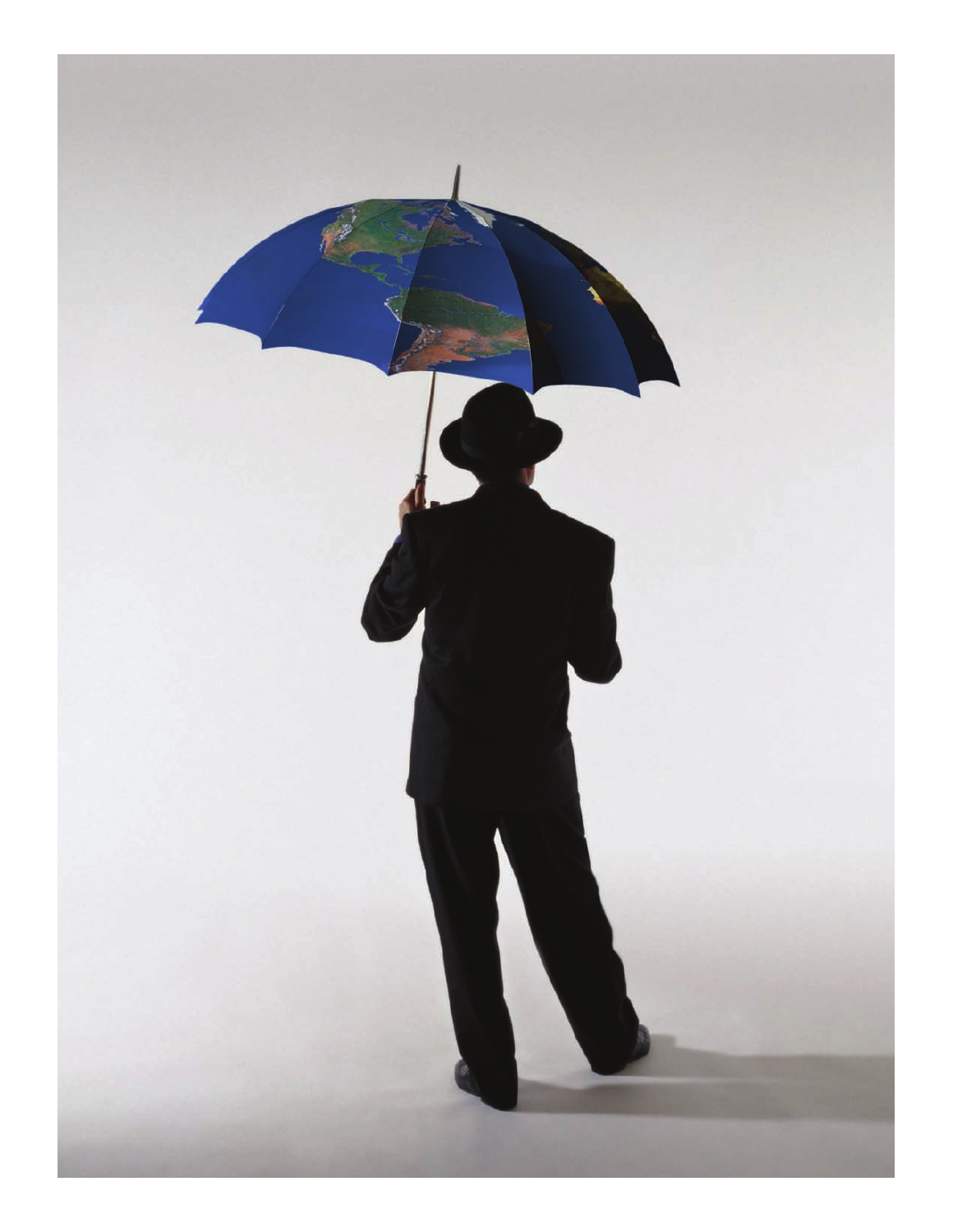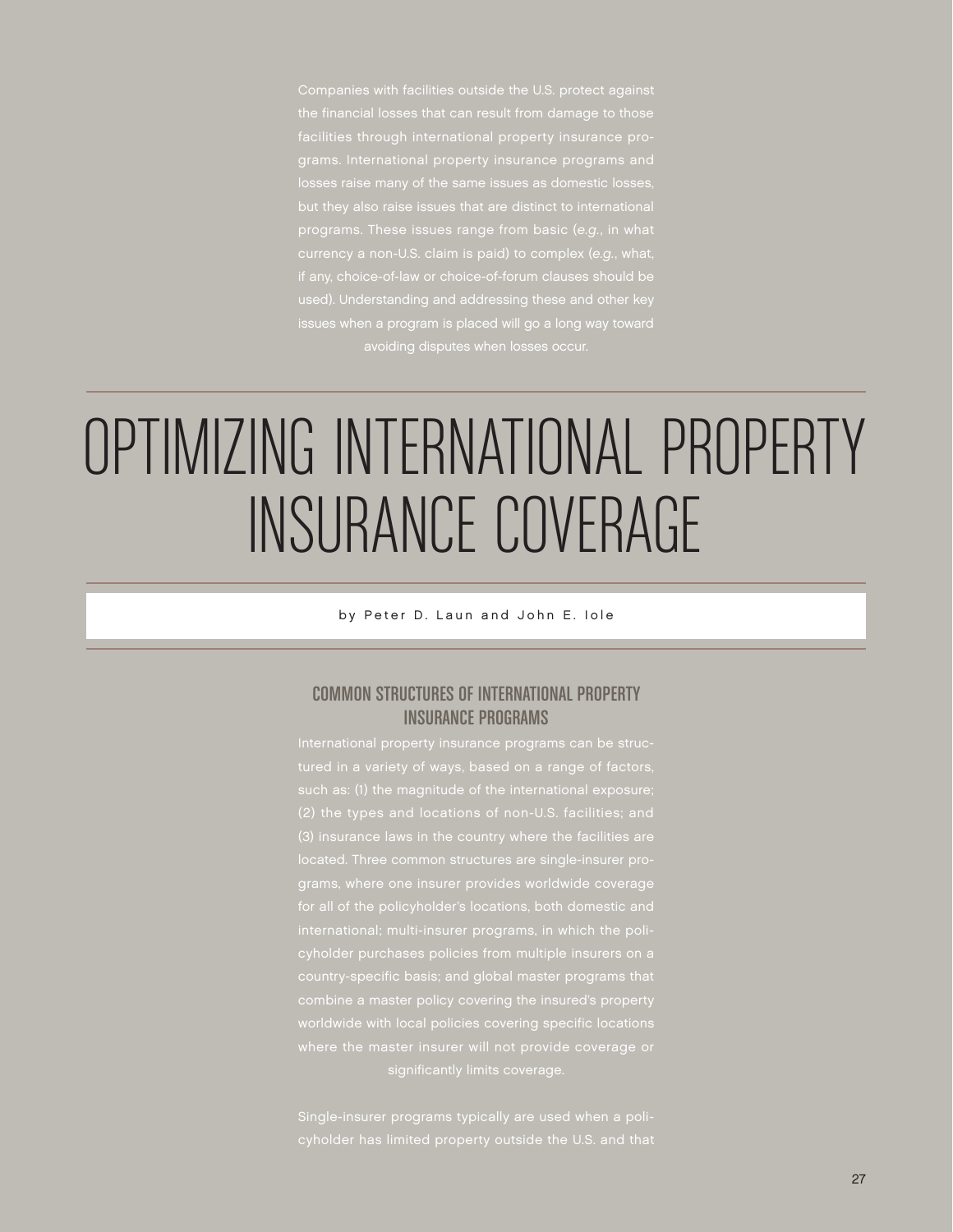if any, choice-of-law or choice-of-forum clauses should be used). Understanding and addressing these and other key

# Optimizing International Property Insurance Coverage

by Peter D. Laun and John E. Iole

## COMMON STRUCTURES OF INTERNATIONAL PROPERTY **INSURANCE PROGRAMS**

International property insurance programs can be strucgrams, where one insurer provides worldwide coverage where the master insurer will not provide coverage or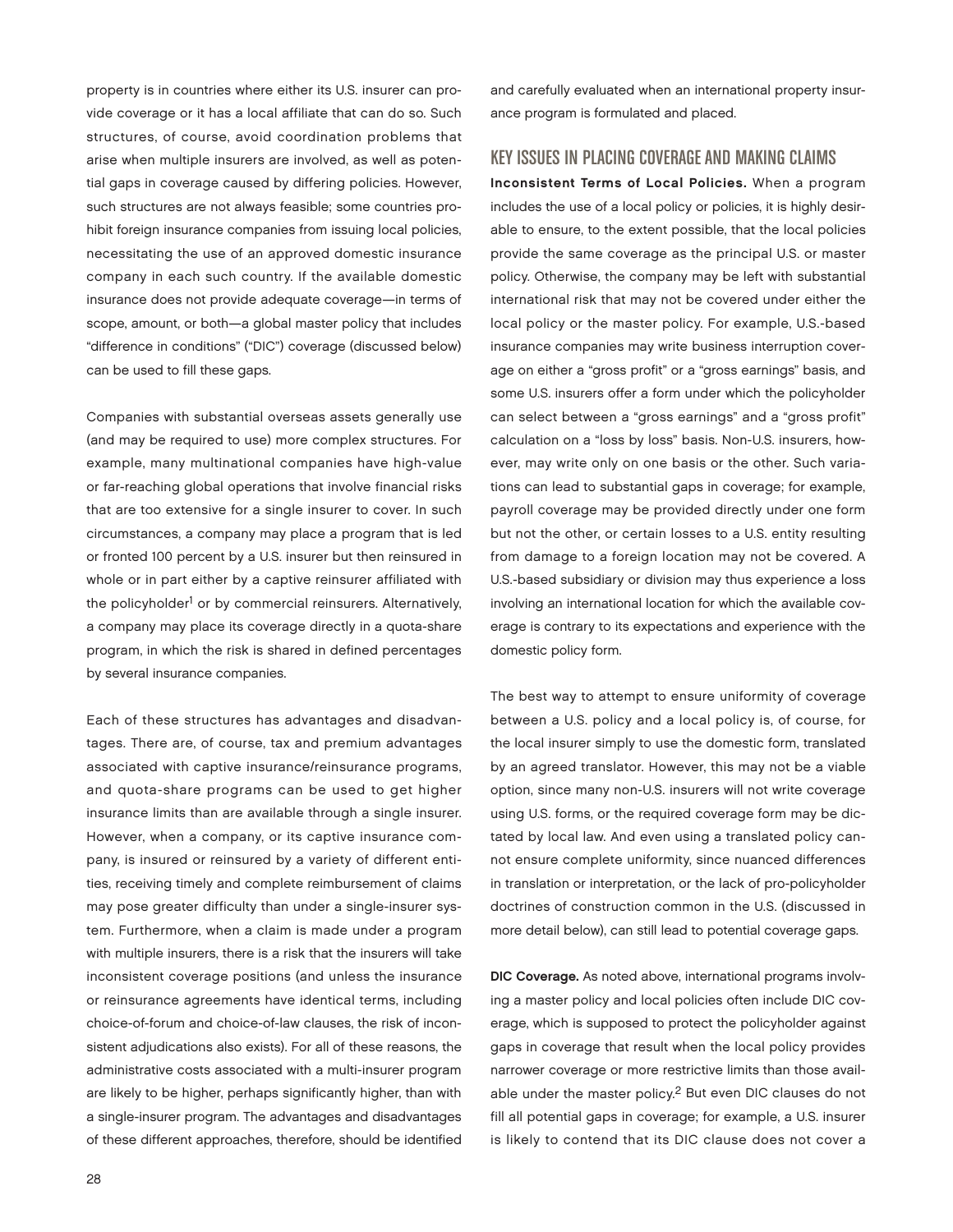property is in countries where either its U.S. insurer can provide coverage or it has a local affiliate that can do so. Such structures, of course, avoid coordination problems that arise when multiple insurers are involved, as well as potential gaps in coverage caused by differing policies. However, such structures are not always feasible; some countries prohibit foreign insurance companies from issuing local policies, necessitating the use of an approved domestic insurance company in each such country. If the available domestic insurance does not provide adequate coverage—in terms of scope, amount, or both—a global master policy that includes "difference in conditions" ("DIC") coverage (discussed below) can be used to fill these gaps.

Companies with substantial overseas assets generally use (and may be required to use) more complex structures. For example, many multinational companies have high-value or far-reaching global operations that involve financial risks that are too extensive for a single insurer to cover. In such circumstances, a company may place a program that is led or fronted 100 percent by a U.S. insurer but then reinsured in whole or in part either by a captive reinsurer affiliated with the policyholder<sup>1</sup> or by commercial reinsurers. Alternatively, a company may place its coverage directly in a quota-share program, in which the risk is shared in defined percentages by several insurance companies.

Each of these structures has advantages and disadvantages. There are, of course, tax and premium advantages associated with captive insurance/reinsurance programs, and quota-share programs can be used to get higher insurance limits than are available through a single insurer. However, when a company, or its captive insurance company, is insured or reinsured by a variety of different entities, receiving timely and complete reimbursement of claims may pose greater difficulty than under a single-insurer system. Furthermore, when a claim is made under a program with multiple insurers, there is a risk that the insurers will take inconsistent coverage positions (and unless the insurance or reinsurance agreements have identical terms, including choice-of-forum and choice-of-law clauses, the risk of inconsistent adjudications also exists). For all of these reasons, the administrative costs associated with a multi-insurer program are likely to be higher, perhaps significantly higher, than with a single-insurer program. The advantages and disadvantages of these different approaches, therefore, should be identified

and carefully evaluated when an international property insurance program is formulated and placed.

### KEY ISSUES IN PLACING COVERAGE AND MAKING CLAIMS

Inconsistent Terms of Local Policies. When a program includes the use of a local policy or policies, it is highly desirable to ensure, to the extent possible, that the local policies provide the same coverage as the principal U.S. or master policy. Otherwise, the company may be left with substantial international risk that may not be covered under either the local policy or the master policy. For example, U.S.-based insurance companies may write business interruption coverage on either a "gross profit" or a "gross earnings" basis, and some U.S. insurers offer a form under which the policyholder can select between a "gross earnings" and a "gross profit" calculation on a "loss by loss" basis. Non-U.S. insurers, however, may write only on one basis or the other. Such variations can lead to substantial gaps in coverage; for example, payroll coverage may be provided directly under one form but not the other, or certain losses to a U.S. entity resulting from damage to a foreign location may not be covered. A U.S.-based subsidiary or division may thus experience a loss involving an international location for which the available coverage is contrary to its expectations and experience with the domestic policy form.

The best way to attempt to ensure uniformity of coverage between a U.S. policy and a local policy is, of course, for the local insurer simply to use the domestic form, translated by an agreed translator. However, this may not be a viable option, since many non-U.S. insurers will not write coverage using U.S. forms, or the required coverage form may be dictated by local law. And even using a translated policy cannot ensure complete uniformity, since nuanced differences in translation or interpretation, or the lack of pro-policyholder doctrines of construction common in the U.S. (discussed in more detail below), can still lead to potential coverage gaps.

DIC Coverage. As noted above, international programs involving a master policy and local policies often include DIC coverage, which is supposed to protect the policyholder against gaps in coverage that result when the local policy provides narrower coverage or more restrictive limits than those available under the master policy.2 But even DIC clauses do not fill all potential gaps in coverage; for example, a U.S. insurer is likely to contend that its DIC clause does not cover a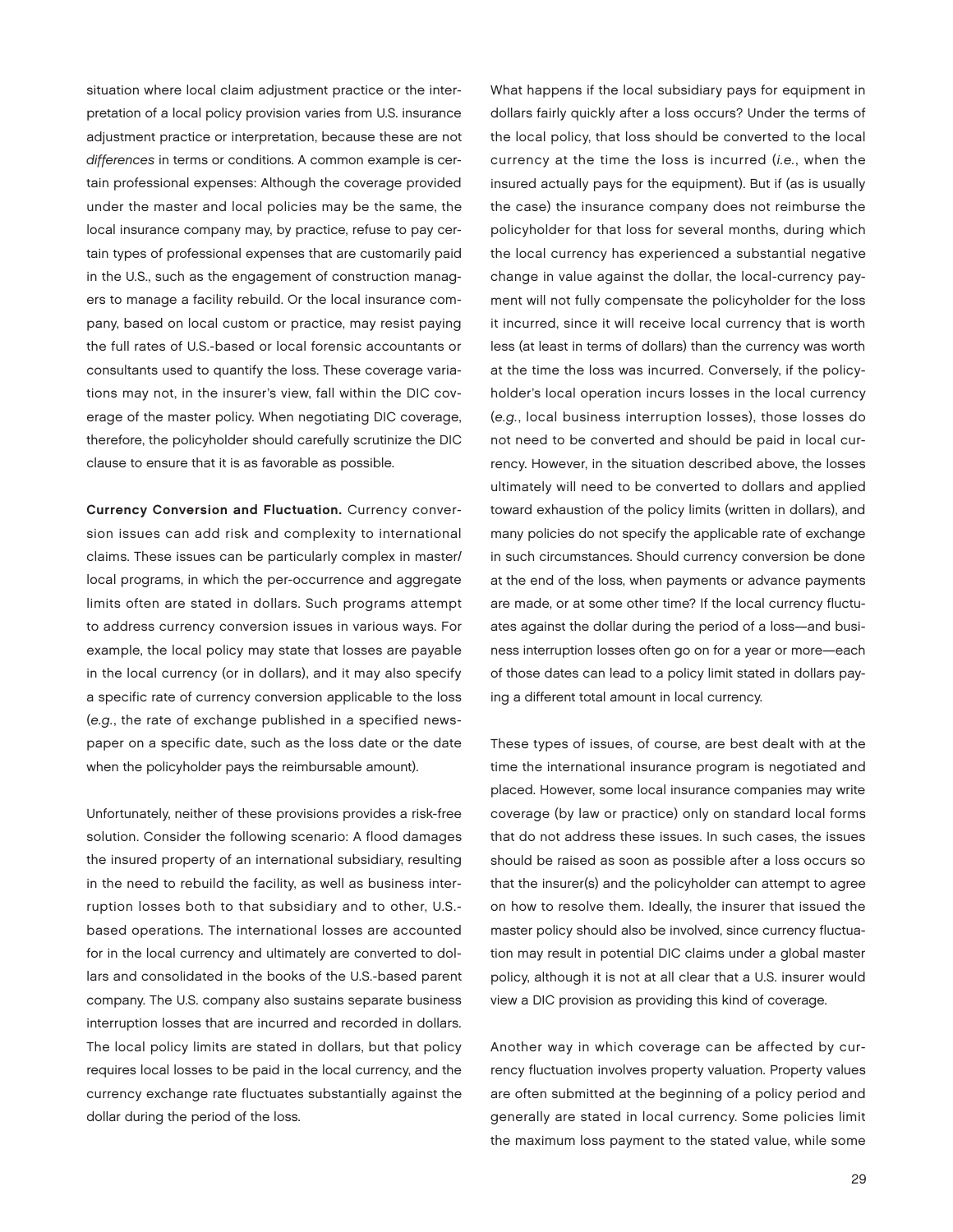situation where local claim adjustment practice or the interpretation of a local policy provision varies from U.S. insurance adjustment practice or interpretation, because these are not differences in terms or conditions. A common example is certain professional expenses: Although the coverage provided under the master and local policies may be the same, the local insurance company may, by practice, refuse to pay certain types of professional expenses that are customarily paid in the U.S., such as the engagement of construction managers to manage a facility rebuild. Or the local insurance company, based on local custom or practice, may resist paying the full rates of U.S.-based or local forensic accountants or consultants used to quantify the loss. These coverage variations may not, in the insurer's view, fall within the DIC coverage of the master policy. When negotiating DIC coverage, therefore, the policyholder should carefully scrutinize the DIC clause to ensure that it is as favorable as possible.

Currency Conversion and Fluctuation. Currency conversion issues can add risk and complexity to international claims. These issues can be particularly complex in master/ local programs, in which the per-occurrence and aggregate limits often are stated in dollars. Such programs attempt to address currency conversion issues in various ways. For example, the local policy may state that losses are payable in the local currency (or in dollars), and it may also specify a specific rate of currency conversion applicable to the loss (e.g., the rate of exchange published in a specified newspaper on a specific date, such as the loss date or the date when the policyholder pays the reimbursable amount).

Unfortunately, neither of these provisions provides a risk-free solution. Consider the following scenario: A flood damages the insured property of an international subsidiary, resulting in the need to rebuild the facility, as well as business interruption losses both to that subsidiary and to other, U.S. based operations. The international losses are accounted for in the local currency and ultimately are converted to dollars and consolidated in the books of the U.S.-based parent company. The U.S. company also sustains separate business interruption losses that are incurred and recorded in dollars. The local policy limits are stated in dollars, but that policy requires local losses to be paid in the local currency, and the currency exchange rate fluctuates substantially against the dollar during the period of the loss.

What happens if the local subsidiary pays for equipment in dollars fairly quickly after a loss occurs? Under the terms of the local policy, that loss should be converted to the local currency at the time the loss is incurred (i.e., when the insured actually pays for the equipment). But if (as is usually the case) the insurance company does not reimburse the policyholder for that loss for several months, during which the local currency has experienced a substantial negative change in value against the dollar, the local-currency payment will not fully compensate the policyholder for the loss it incurred, since it will receive local currency that is worth less (at least in terms of dollars) than the currency was worth at the time the loss was incurred. Conversely, if the policyholder's local operation incurs losses in the local currency (e.g., local business interruption losses), those losses do not need to be converted and should be paid in local currency. However, in the situation described above, the losses ultimately will need to be converted to dollars and applied toward exhaustion of the policy limits (written in dollars), and many policies do not specify the applicable rate of exchange in such circumstances. Should currency conversion be done at the end of the loss, when payments or advance payments are made, or at some other time? If the local currency fluctuates against the dollar during the period of a loss—and business interruption losses often go on for a year or more—each of those dates can lead to a policy limit stated in dollars paying a different total amount in local currency.

These types of issues, of course, are best dealt with at the time the international insurance program is negotiated and placed. However, some local insurance companies may write coverage (by law or practice) only on standard local forms that do not address these issues. In such cases, the issues should be raised as soon as possible after a loss occurs so that the insurer(s) and the policyholder can attempt to agree on how to resolve them. Ideally, the insurer that issued the master policy should also be involved, since currency fluctuation may result in potential DIC claims under a global master policy, although it is not at all clear that a U.S. insurer would view a DIC provision as providing this kind of coverage.

Another way in which coverage can be affected by currency fluctuation involves property valuation. Property values are often submitted at the beginning of a policy period and generally are stated in local currency. Some policies limit the maximum loss payment to the stated value, while some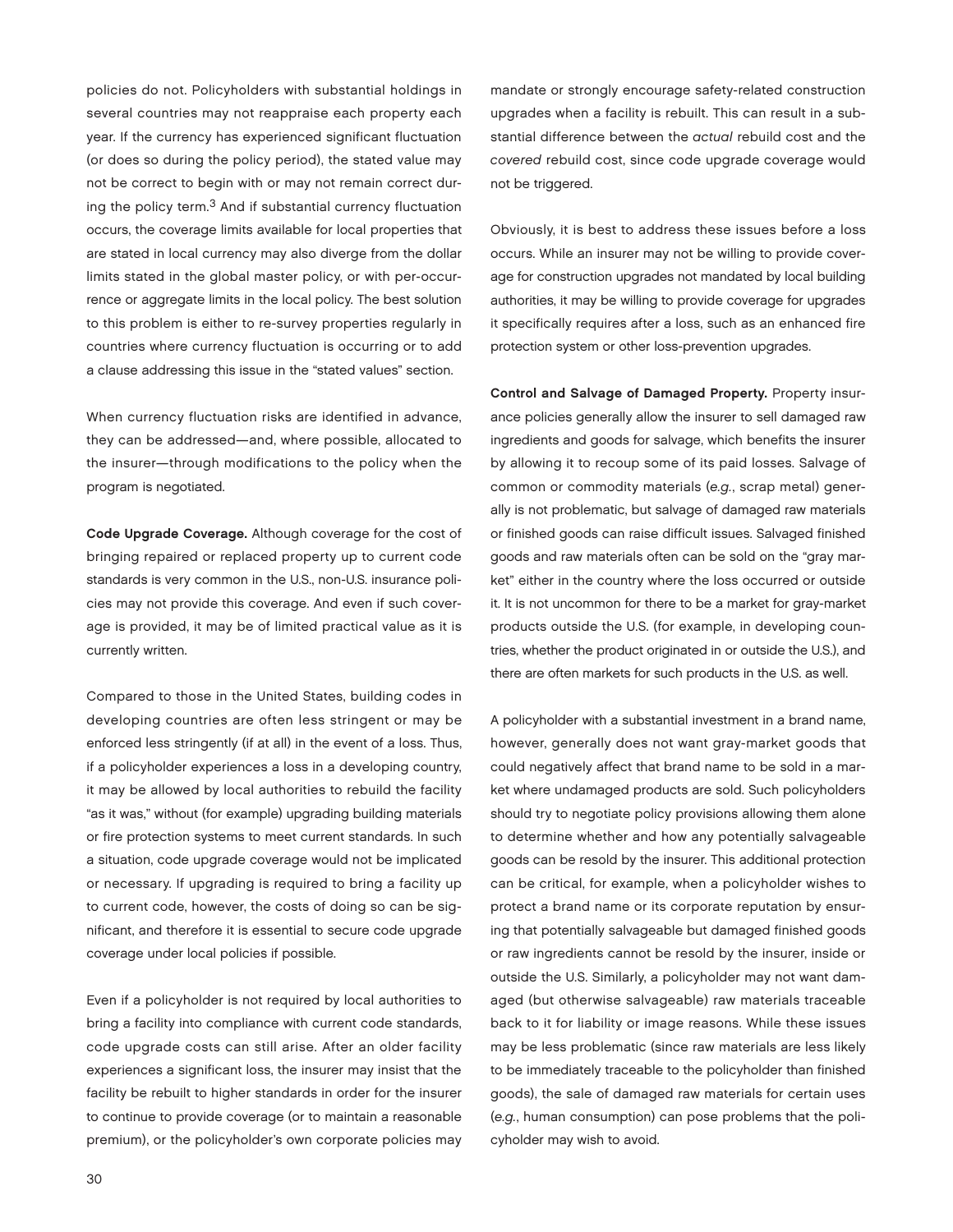policies do not. Policyholders with substantial holdings in several countries may not reappraise each property each year. If the currency has experienced significant fluctuation (or does so during the policy period), the stated value may not be correct to begin with or may not remain correct during the policy term.3 And if substantial currency fluctuation occurs, the coverage limits available for local properties that are stated in local currency may also diverge from the dollar limits stated in the global master policy, or with per-occurrence or aggregate limits in the local policy. The best solution to this problem is either to re-survey properties regularly in countries where currency fluctuation is occurring or to add a clause addressing this issue in the "stated values" section.

When currency fluctuation risks are identified in advance, they can be addressed—and, where possible, allocated to the insurer—through modifications to the policy when the program is negotiated.

Code Upgrade Coverage. Although coverage for the cost of bringing repaired or replaced property up to current code standards is very common in the U.S., non-U.S. insurance policies may not provide this coverage. And even if such coverage is provided, it may be of limited practical value as it is currently written.

Compared to those in the United States, building codes in developing countries are often less stringent or may be enforced less stringently (if at all) in the event of a loss. Thus, if a policyholder experiences a loss in a developing country, it may be allowed by local authorities to rebuild the facility "as it was," without (for example) upgrading building materials or fire protection systems to meet current standards. In such a situation, code upgrade coverage would not be implicated or necessary. If upgrading is required to bring a facility up to current code, however, the costs of doing so can be significant, and therefore it is essential to secure code upgrade coverage under local policies if possible.

Even if a policyholder is not required by local authorities to bring a facility into compliance with current code standards, code upgrade costs can still arise. After an older facility experiences a significant loss, the insurer may insist that the facility be rebuilt to higher standards in order for the insurer to continue to provide coverage (or to maintain a reasonable premium), or the policyholder's own corporate policies may

mandate or strongly encourage safety-related construction upgrades when a facility is rebuilt. This can result in a substantial difference between the actual rebuild cost and the covered rebuild cost, since code upgrade coverage would not be triggered.

Obviously, it is best to address these issues before a loss occurs. While an insurer may not be willing to provide coverage for construction upgrades not mandated by local building authorities, it may be willing to provide coverage for upgrades it specifically requires after a loss, such as an enhanced fire protection system or other loss-prevention upgrades.

Control and Salvage of Damaged Property. Property insurance policies generally allow the insurer to sell damaged raw ingredients and goods for salvage, which benefits the insurer by allowing it to recoup some of its paid losses. Salvage of common or commodity materials (e.g., scrap metal) generally is not problematic, but salvage of damaged raw materials or finished goods can raise difficult issues. Salvaged finished goods and raw materials often can be sold on the "gray market" either in the country where the loss occurred or outside it. It is not uncommon for there to be a market for gray-market products outside the U.S. (for example, in developing countries, whether the product originated in or outside the U.S.), and there are often markets for such products in the U.S. as well.

A policyholder with a substantial investment in a brand name, however, generally does not want gray-market goods that could negatively affect that brand name to be sold in a market where undamaged products are sold. Such policyholders should try to negotiate policy provisions allowing them alone to determine whether and how any potentially salvageable goods can be resold by the insurer. This additional protection can be critical, for example, when a policyholder wishes to protect a brand name or its corporate reputation by ensuring that potentially salvageable but damaged finished goods or raw ingredients cannot be resold by the insurer, inside or outside the U.S. Similarly, a policyholder may not want damaged (but otherwise salvageable) raw materials traceable back to it for liability or image reasons. While these issues may be less problematic (since raw materials are less likely to be immediately traceable to the policyholder than finished goods), the sale of damaged raw materials for certain uses (e.g., human consumption) can pose problems that the policyholder may wish to avoid.